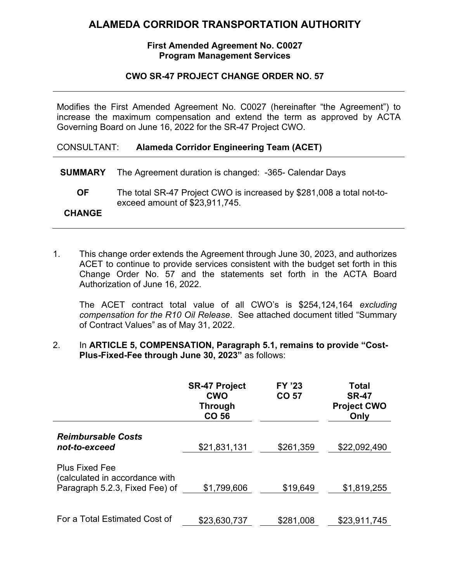# **ALAMEDA CORRIDOR TRANSPORTATION AUTHORITY**

### **First Amended Agreement No. C0027 Program Management Services**

### **CWO SR-47 PROJECT CHANGE ORDER NO. 57**

Modifies the First Amended Agreement No. C0027 (hereinafter "the Agreement") to increase the maximum compensation and extend the term as approved by ACTA Governing Board on June 16, 2022 for the SR-47 Project CWO.

CONSULTANT: **Alameda Corridor Engineering Team (ACET)**

- **SUMMARY** The Agreement duration is changed: -365- Calendar Days
	- **OF** The total SR-47 Project CWO is increased by \$281,008 a total not-toexceed amount of \$23,911,745.

### **CHANGE**

1. This change order extends the Agreement through June 30, 2023, and authorizes ACET to continue to provide services consistent with the budget set forth in this Change Order No. 57 and the statements set forth in the ACTA Board Authorization of June 16, 2022.

The ACET contract total value of all CWO's is \$254,124,164 *excluding compensation for the R10 Oil Release*. See attached document titled "Summary of Contract Values" as of May 31, 2022.

#### 2. In **ARTICLE 5, COMPENSATION, Paragraph 5.1, remains to provide "Cost-Plus-Fixed-Fee through June 30, 2023"** as follows:

|                                                                                           | <b>SR-47 Project</b><br><b>CWO</b><br><b>Through</b><br>CO 56 | <b>FY '23</b><br>CO 57 | <b>Total</b><br><b>SR-47</b><br><b>Project CWO</b><br>Only |
|-------------------------------------------------------------------------------------------|---------------------------------------------------------------|------------------------|------------------------------------------------------------|
| <b>Reimbursable Costs</b><br>not-to-exceed                                                | \$21,831,131                                                  | \$261,359              | \$22,092,490                                               |
| <b>Plus Fixed Fee</b><br>(calculated in accordance with<br>Paragraph 5.2.3, Fixed Fee) of | \$1,799,606                                                   | \$19,649               | \$1,819,255                                                |
| For a Total Estimated Cost of                                                             | \$23,630,737                                                  | \$281,008              | \$23,911,745                                               |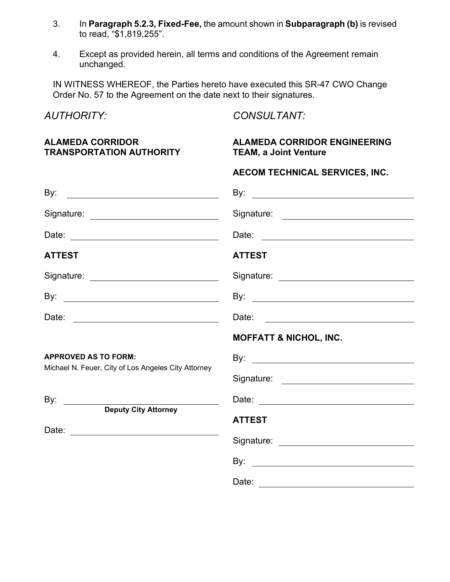- 3. In **Paragraph 5.2.3, Fixed-Fee,** the amount shown in **Subparagraph (b)** is revised to read, "\$1,819,255".
- 4. Except as provided herein, all terms and conditions of the Agreement remain unchanged.

IN WITNESS WHEREOF, the Parties hereto have executed this SR-47 CWO Change Order No. 57 to the Agreement on the date next to their signatures.

| <b>AUTHORITY:</b>                                          | <b>CONSULTANT:</b>                                                                                                                                                                                                             |  |  |
|------------------------------------------------------------|--------------------------------------------------------------------------------------------------------------------------------------------------------------------------------------------------------------------------------|--|--|
| <b>ALAMEDA CORRIDOR</b><br><b>TRANSPORTATION AUTHORITY</b> | <b>ALAMEDA CORRIDOR ENGINEERING</b><br><b>TEAM, a Joint Venture</b>                                                                                                                                                            |  |  |
|                                                            | AECOM TECHNICAL SERVICES, INC.                                                                                                                                                                                                 |  |  |
|                                                            |                                                                                                                                                                                                                                |  |  |
| Signature: ______________________________                  |                                                                                                                                                                                                                                |  |  |
|                                                            | Date:                                                                                                                                                                                                                          |  |  |
| <b>ATTEST</b>                                              | <b>ATTEST</b>                                                                                                                                                                                                                  |  |  |
| Signature: <u>www.community.com</u>                        | Signature: experience and the state of the state of the state of the state of the state of the state of the state of the state of the state of the state of the state of the state of the state of the state of the state of t |  |  |
|                                                            |                                                                                                                                                                                                                                |  |  |
| Date: _________________________________                    |                                                                                                                                                                                                                                |  |  |
|                                                            | <b>MOFFATT &amp; NICHOL, INC.</b>                                                                                                                                                                                              |  |  |
| <b>APPROVED AS TO FORM:</b>                                |                                                                                                                                                                                                                                |  |  |
| Michael N. Feuer, City of Los Angeles City Attorney        |                                                                                                                                                                                                                                |  |  |
| By: $\qquad \qquad$                                        |                                                                                                                                                                                                                                |  |  |
| <b>Deputy City Attorney</b>                                | <b>ATTEST</b>                                                                                                                                                                                                                  |  |  |
|                                                            |                                                                                                                                                                                                                                |  |  |
|                                                            |                                                                                                                                                                                                                                |  |  |
|                                                            | Date:                                                                                                                                                                                                                          |  |  |